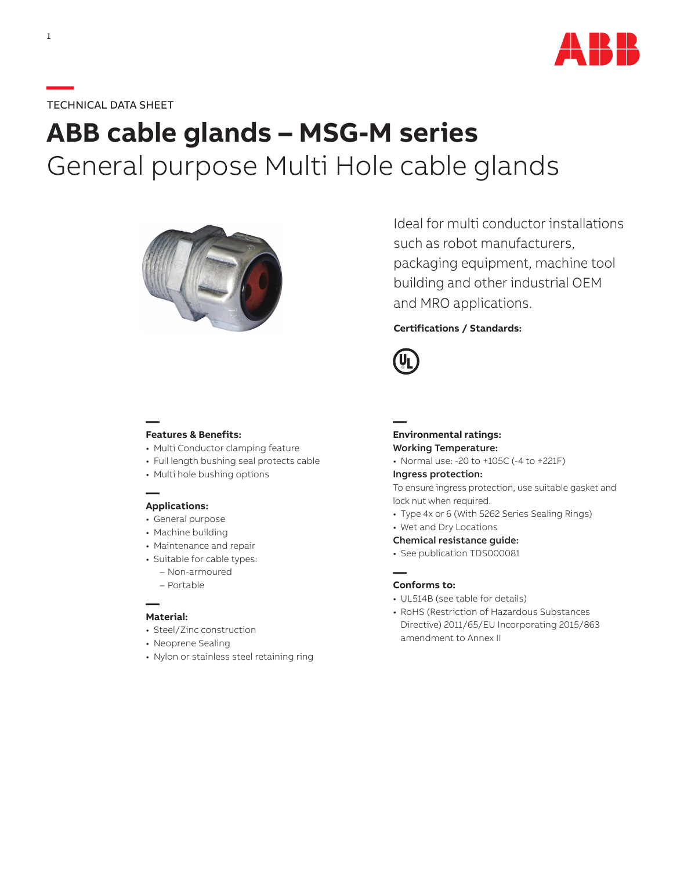

## **—**TECHNICAL DATA SHEET

# **ABB cable glands – MSG-M series** General purpose Multi Hole cable glands



Ideal for multi conductor installations such as robot manufacturers, packaging equipment, machine tool building and other industrial OEM and MRO applications.

### **Certifications / Standards:**



## **— Features & Benefits:**

- Multi Conductor clamping feature
- Full length bushing seal protects cable
- Multi hole bushing options

#### **— Applications:**

- General purpose
- Machine building
- Maintenance and repair
- Suitable for cable types:
	- Non-armoured
	- Portable

#### **— Material:**

- Steel/Zinc construction
- Neoprene Sealing
- Nylon or stainless steel retaining ring

### **— Environmental ratings:** Working Temperature:

• Normal use: -20 to +105C (-4 to +221F)

#### Ingress protection:

To ensure ingress protection, use suitable gasket and lock nut when required.

- Type 4x or 6 (With 5262 Series Sealing Rings)
- Wet and Dry Locations
- Chemical resistance guide:
- See publication TDS000081

#### **Conforms to:**

**—**

- UL514B (see table for details)
- RoHS (Restriction of Hazardous Substances Directive) 2011/65/EU Incorporating 2015/863 amendment to Annex II